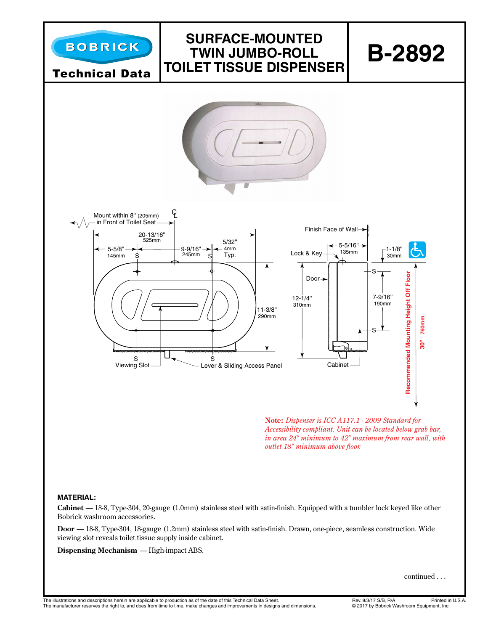

*Accessibility compliant. Unit can be located below grab bar, in area 24" minimum to 42" maximum from rear wall, with outlet 18" minimum above floor.*

## **MATERIAL:**

**Cabinet** — 18-8, Type-304, 20-gauge (1.0mm) stainless steel with satin-finish. Equipped with a tumbler lock keyed like other Bobrick washroom accessories.

**Door** — 18-8, Type-304, 18-gauge (1.2mm) stainless steel with satin-finish. Drawn, one-piece, seamless construction. Wide viewing slot reveals toilet tissue supply inside cabinet.

**Dispensing Mechanism** — High-impact ABS.

continued . . .